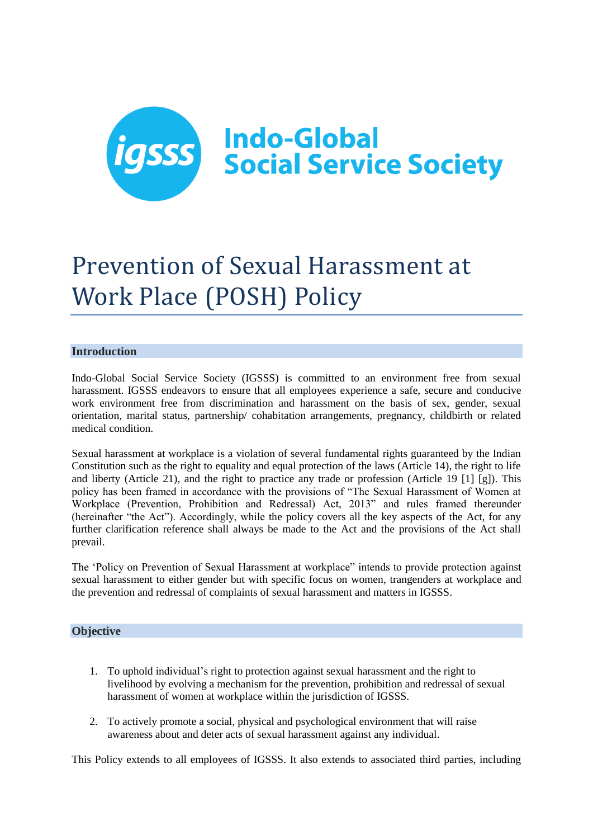

# Prevention of Sexual Harassment at Work Place (POSH) Policy

# **Introduction**

Indo-Global Social Service Society (IGSSS) is committed to an environment free from sexual harassment. IGSSS endeavors to ensure that all employees experience a safe, secure and conducive work environment free from discrimination and harassment on the basis of sex, gender, sexual orientation, marital status, partnership/ cohabitation arrangements, pregnancy, childbirth or related medical condition.

Sexual harassment at workplace is a violation of several fundamental rights guaranteed by the Indian Constitution such as the right to equality and equal protection of the laws (Article 14), the right to life and liberty (Article 21), and the right to practice any trade or profession (Article 19 [1] [g]). This policy has been framed in accordance with the provisions of "The Sexual Harassment of Women at Workplace (Prevention, Prohibition and Redressal) Act, 2013" and rules framed thereunder (hereinafter "the Act"). Accordingly, while the policy covers all the key aspects of the Act, for any further clarification reference shall always be made to the Act and the provisions of the Act shall prevail.

The 'Policy on Prevention of Sexual Harassment at workplace" intends to provide protection against sexual harassment to either gender but with specific focus on women, trangenders at workplace and the prevention and redressal of complaints of sexual harassment and matters in IGSSS.

# **Objective**

- 1. To uphold individual's right to protection against sexual harassment and the right to livelihood by evolving a mechanism for the prevention, prohibition and redressal of sexual harassment of women at workplace within the jurisdiction of IGSSS.
- 2. To actively promote a social, physical and psychological environment that will raise awareness about and deter acts of sexual harassment against any individual.

This Policy extends to all employees of IGSSS. It also extends to associated third parties, including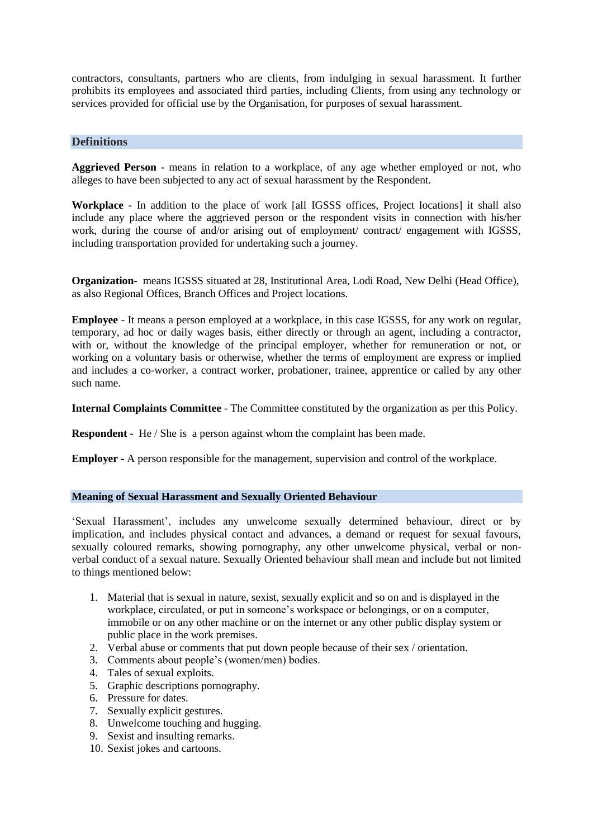contractors, consultants, partners who are clients, from indulging in sexual harassment. It further prohibits its employees and associated third parties, including Clients, from using any technology or services provided for official use by the Organisation, for purposes of sexual harassment.

# **Definitions**

**Aggrieved Person -** means in relation to a workplace, of any age whether employed or not, who alleges to have been subjected to any act of sexual harassment by the Respondent.

**Workplace -** In addition to the place of work [all IGSSS offices, Project locations] it shall also include any place where the aggrieved person or the respondent visits in connection with his/her work, during the course of and/or arising out of employment/ contract/ engagement with IGSSS, including transportation provided for undertaking such a journey.

**Organization-** means IGSSS situated at 28, Institutional Area, Lodi Road, New Delhi (Head Office), as also Regional Offices, Branch Offices and Project locations.

**Employee** - It means a person employed at a workplace, in this case IGSSS, for any work on regular, temporary, ad hoc or daily wages basis, either directly or through an agent, including a contractor, with or, without the knowledge of the principal employer, whether for remuneration or not, or working on a voluntary basis or otherwise, whether the terms of employment are express or implied and includes a co-worker, a contract worker, probationer, trainee, apprentice or called by any other such name.

**Internal Complaints Committee** - The Committee constituted by the organization as per this Policy.

**Respondent** - He / She is a person against whom the complaint has been made.

**Employer** - A person responsible for the management, supervision and control of the workplace.

#### **Meaning of Sexual Harassment and Sexually Oriented Behaviour**

'Sexual Harassment', includes any unwelcome sexually determined behaviour, direct or by implication, and includes physical contact and advances, a demand or request for sexual favours, sexually coloured remarks, showing pornography, any other unwelcome physical, verbal or nonverbal conduct of a sexual nature. Sexually Oriented behaviour shall mean and include but not limited to things mentioned below:

- 1. Material that is sexual in nature, sexist, sexually explicit and so on and is displayed in the workplace, circulated, or put in someone's workspace or belongings, or on a computer, immobile or on any other machine or on the internet or any other public display system or public place in the work premises.
- 2. Verbal abuse or comments that put down people because of their sex / orientation.
- 3. Comments about people's (women/men) bodies.
- 4. Tales of sexual exploits.
- 5. Graphic descriptions pornography.
- 6. Pressure for dates.
- 7. Sexually explicit gestures.
- 8. Unwelcome touching and hugging.
- 9. Sexist and insulting remarks.
- 10. Sexist jokes and cartoons.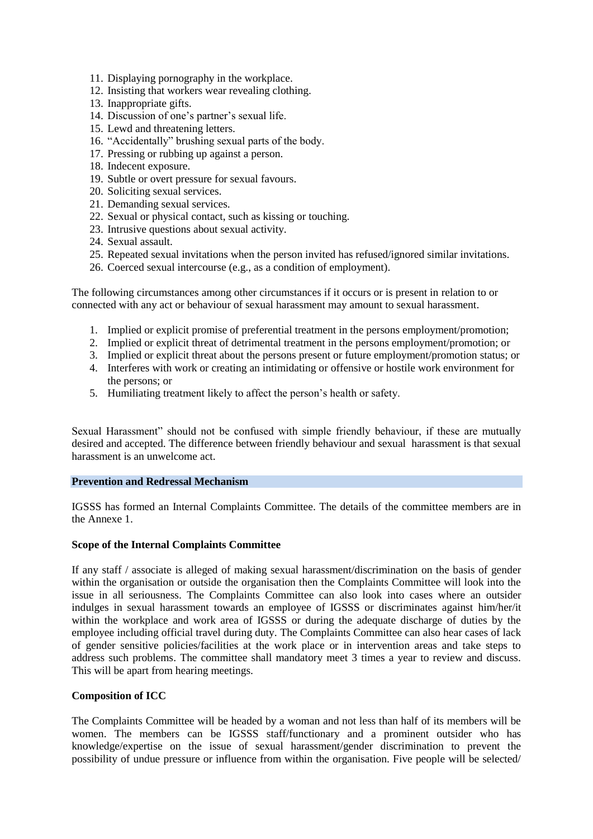- 11. Displaying pornography in the workplace.
- 12. Insisting that workers wear revealing clothing.
- 13. Inappropriate gifts.
- 14. Discussion of one's partner's sexual life.
- 15. Lewd and threatening letters.
- 16. "Accidentally" brushing sexual parts of the body.
- 17. Pressing or rubbing up against a person.
- 18. Indecent exposure.
- 19. Subtle or overt pressure for sexual favours.
- 20. Soliciting sexual services.
- 21. Demanding sexual services.
- 22. Sexual or physical contact, such as kissing or touching.
- 23. Intrusive questions about sexual activity.
- 24. Sexual assault.
- 25. Repeated sexual invitations when the person invited has refused/ignored similar invitations.
- 26. Coerced sexual intercourse (e.g., as a condition of employment).

The following circumstances among other circumstances if it occurs or is present in relation to or connected with any act or behaviour of sexual harassment may amount to sexual harassment.

- 1. Implied or explicit promise of preferential treatment in the persons employment/promotion;
- 2. Implied or explicit threat of detrimental treatment in the persons employment/promotion; or
- 3. Implied or explicit threat about the persons present or future employment/promotion status; or
- 4. Interferes with work or creating an intimidating or offensive or hostile work environment for the persons; or
- 5. Humiliating treatment likely to affect the person's health or safety.

Sexual Harassment" should not be confused with simple friendly behaviour, if these are mutually desired and accepted. The difference between friendly behaviour and sexual harassment is that sexual harassment is an unwelcome act.

#### **Prevention and Redressal Mechanism**

IGSSS has formed an Internal Complaints Committee. The details of the committee members are in the Annexe 1.

#### **Scope of the Internal Complaints Committee**

If any staff / associate is alleged of making sexual harassment/discrimination on the basis of gender within the organisation or outside the organisation then the Complaints Committee will look into the issue in all seriousness. The Complaints Committee can also look into cases where an outsider indulges in sexual harassment towards an employee of IGSSS or discriminates against him/her/it within the workplace and work area of IGSSS or during the adequate discharge of duties by the employee including official travel during duty. The Complaints Committee can also hear cases of lack of gender sensitive policies/facilities at the work place or in intervention areas and take steps to address such problems. The committee shall mandatory meet 3 times a year to review and discuss. This will be apart from hearing meetings.

#### **Composition of ICC**

The Complaints Committee will be headed by a woman and not less than half of its members will be women. The members can be IGSSS staff/functionary and a prominent outsider who has knowledge/expertise on the issue of sexual harassment/gender discrimination to prevent the possibility of undue pressure or influence from within the organisation. Five people will be selected/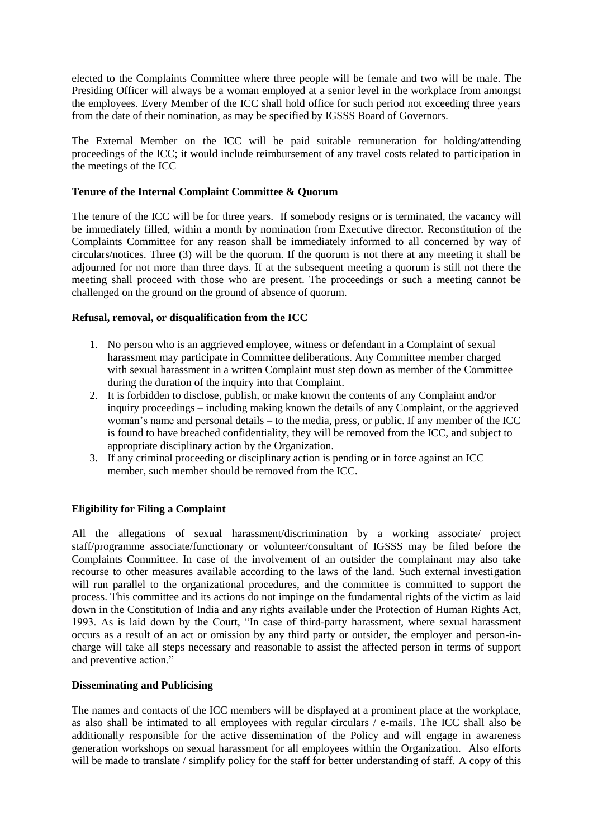elected to the Complaints Committee where three people will be female and two will be male. The Presiding Officer will always be a woman employed at a senior level in the workplace from amongst the employees. Every Member of the ICC shall hold office for such period not exceeding three years from the date of their nomination, as may be specified by IGSSS Board of Governors.

The External Member on the ICC will be paid suitable remuneration for holding/attending proceedings of the ICC; it would include reimbursement of any travel costs related to participation in the meetings of the ICC

# **Tenure of the Internal Complaint Committee & Quorum**

The tenure of the ICC will be for three years. If somebody resigns or is terminated, the vacancy will be immediately filled, within a month by nomination from Executive director. Reconstitution of the Complaints Committee for any reason shall be immediately informed to all concerned by way of circulars/notices. Three (3) will be the quorum. If the quorum is not there at any meeting it shall be adjourned for not more than three days. If at the subsequent meeting a quorum is still not there the meeting shall proceed with those who are present. The proceedings or such a meeting cannot be challenged on the ground on the ground of absence of quorum.

#### **Refusal, removal, or disqualification from the ICC**

- 1. No person who is an aggrieved employee, witness or defendant in a Complaint of sexual harassment may participate in Committee deliberations. Any Committee member charged with sexual harassment in a written Complaint must step down as member of the Committee during the duration of the inquiry into that Complaint.
- 2. It is forbidden to disclose, publish, or make known the contents of any Complaint and/or inquiry proceedings – including making known the details of any Complaint, or the aggrieved woman's name and personal details – to the media, press, or public. If any member of the ICC is found to have breached confidentiality, they will be removed from the ICC, and subject to appropriate disciplinary action by the Organization.
- 3. If any criminal proceeding or disciplinary action is pending or in force against an ICC member, such member should be removed from the ICC.

# **Eligibility for Filing a Complaint**

All the allegations of sexual harassment/discrimination by a working associate/ project staff/programme associate/functionary or volunteer/consultant of IGSSS may be filed before the Complaints Committee. In case of the involvement of an outsider the complainant may also take recourse to other measures available according to the laws of the land. Such external investigation will run parallel to the organizational procedures, and the committee is committed to support the process. This committee and its actions do not impinge on the fundamental rights of the victim as laid down in the Constitution of India and any rights available under the Protection of Human Rights Act, 1993. As is laid down by the Court, "In case of third-party harassment, where sexual harassment occurs as a result of an act or omission by any third party or outsider, the employer and person-incharge will take all steps necessary and reasonable to assist the affected person in terms of support and preventive action."

#### **Disseminating and Publicising**

The names and contacts of the ICC members will be displayed at a prominent place at the workplace, as also shall be intimated to all employees with regular circulars / e-mails. The ICC shall also be additionally responsible for the active dissemination of the Policy and will engage in awareness generation workshops on sexual harassment for all employees within the Organization. Also efforts will be made to translate / simplify policy for the staff for better understanding of staff. A copy of this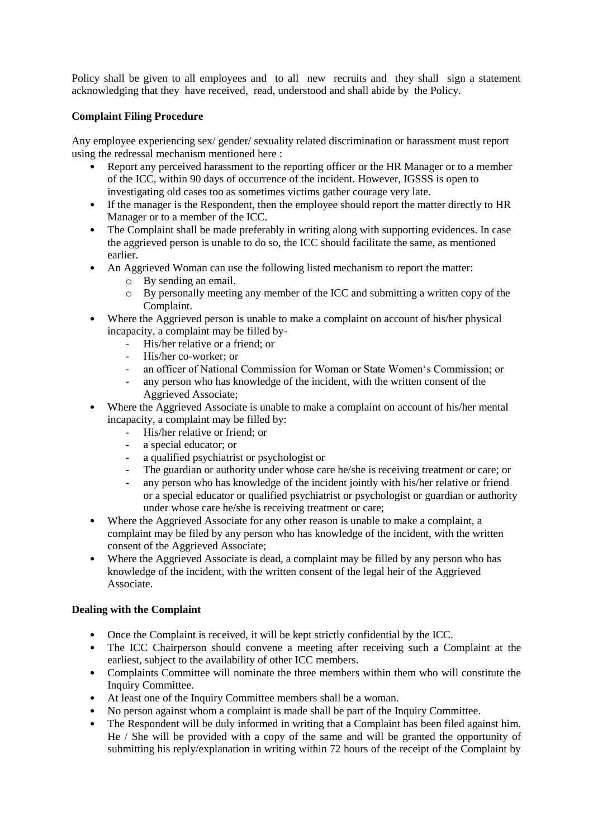Policy shall be given to all employees and to all new recruits and they shall sign a statement acknowledging that they have received, read, understood and shall abide by the Policy.

# **Complaint Filing Procedure**

Any employee experiencing sex/ gender/ sexuality related discrimination or harassment must report using the redressal mechanism mentioned here :

- Report any perceived harassment to the reporting officer or the HR Manager or to a member of the ICC, within 90 days of occurrence of the incident. However, IGSSS is open to investigating old cases too as sometimes victims gather courage very late.
- If the manager is the Respondent, then the employee should report the matter directly to HR Manager or to a member of the ICC.
- The Complaint shall be made preferably in writing along with supporting evidences. In case the aggrieved person is unable to do so, the ICC should facilitate the same, as mentioned earlier.
- An Aggrieved Woman can use the following listed mechanism to report the matter:
	- o By sending an email.
	- o By personally meeting any member of the ICC and submitting a written copy of the Complaint.
- Where the Aggrieved person is unable to make a complaint on account of his/her physical incapacity, a complaint may be filled by-
	- His/her relative or a friend; or
	- His/her co-worker; or
	- an officer of National Commission for Woman or State Women's Commission; or
	- any person who has knowledge of the incident, with the written consent of the Aggrieved Associate;
- Where the Aggrieved Associate is unable to make a complaint on account of his/her mental incapacity, a complaint may be filled by:
	- His/her relative or friend; or
		- a special educator; or
		- a qualified psychiatrist or psychologist or
		- The guardian or authority under whose care he/she is receiving treatment or care; or
		- any person who has knowledge of the incident jointly with his/her relative or friend or a special educator or qualified psychiatrist or psychologist or guardian or authority under whose care he/she is receiving treatment or care;
- Where the Aggrieved Associate for any other reason is unable to make a complaint, a complaint may be filed by any person who has knowledge of the incident, with the written consent of the Aggrieved Associate;
- Where the Aggrieved Associate is dead, a complaint may be filled by any person who has knowledge of the incident, with the written consent of the legal heir of the Aggrieved Associate.

#### **Dealing with the Complaint**

- Once the Complaint is received, it will be kept strictly confidential by the ICC.
- The ICC Chairperson should convene a meeting after receiving such a Complaint at the earliest, subject to the availability of other ICC members.
- Complaints Committee will nominate the three members within them who will constitute the Inquiry Committee.
- 
- At least one of the Inquiry Committee members shall be a woman.<br>• No nerson against whom a complaint is made shall be part of the In • No person against whom a complaint is made shall be part of the Inquiry Committee.
- The Respondent will be duly informed in writing that a Complaint has been filed against him. He / She will be provided with a copy of the same and will be granted the opportunity of submitting his reply/explanation in writing within 72 hours of the receipt of the Complaint by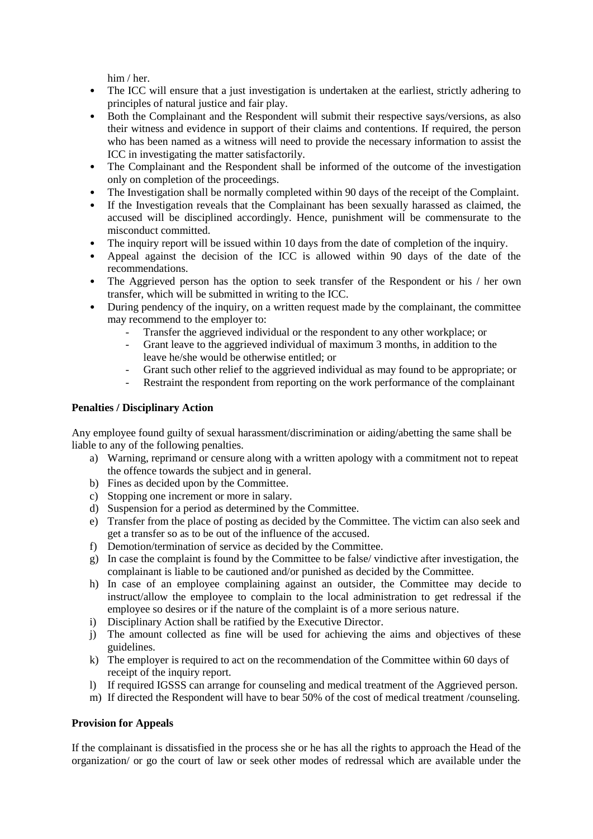him / her.

- The ICC will ensure that a just investigation is undertaken at the earliest, strictly adhering to principles of natural justice and fair play.
- Both the Complainant and the Respondent will submit their respective says/versions, as also their witness and evidence in support of their claims and contentions. If required, the person who has been named as a witness will need to provide the necessary information to assist the ICC in investigating the matter satisfactorily.
- The Complainant and the Respondent shall be informed of the outcome of the investigation only on completion of the proceedings.
- The Investigation shall be normally completed within 90 days of the receipt of the Complaint.
- If the Investigation reveals that the Complainant has been sexually harassed as claimed, the accused will be disciplined accordingly. Hence, punishment will be commensurate to the misconduct committed.
- The inquiry report will be issued within 10 days from the date of completion of the inquiry.
- Appeal against the decision of the ICC is allowed within 90 days of the date of the recommendations.
- The Aggrieved person has the option to seek transfer of the Respondent or his / her own transfer, which will be submitted in writing to the ICC.
- During pendency of the inquiry, on a written request made by the complainant, the committee may recommend to the employer to:
	- Transfer the aggrieved individual or the respondent to any other workplace; or
	- Grant leave to the aggrieved individual of maximum 3 months, in addition to the leave he/she would be otherwise entitled; or
	- Grant such other relief to the aggrieved individual as may found to be appropriate; or
	- Restraint the respondent from reporting on the work performance of the complainant

# **Penalties / Disciplinary Action**

Any employee found guilty of sexual harassment/discrimination or aiding/abetting the same shall be liable to any of the following penalties.

- a) Warning, reprimand or censure along with a written apology with a commitment not to repeat the offence towards the subject and in general.
- b) Fines as decided upon by the Committee.
- c) Stopping one increment or more in salary.
- d) Suspension for a period as determined by the Committee.
- e) Transfer from the place of posting as decided by the Committee. The victim can also seek and get a transfer so as to be out of the influence of the accused.
- f) Demotion/termination of service as decided by the Committee.
- g) In case the complaint is found by the Committee to be false/ vindictive after investigation, the complainant is liable to be cautioned and/or punished as decided by the Committee.
- h) In case of an employee complaining against an outsider, the Committee may decide to instruct/allow the employee to complain to the local administration to get redressal if the employee so desires or if the nature of the complaint is of a more serious nature.
- i) Disciplinary Action shall be ratified by the Executive Director.
- j) The amount collected as fine will be used for achieving the aims and objectives of these guidelines.
- k) The employer is required to act on the recommendation of the Committee within 60 days of receipt of the inquiry report.
- l) If required IGSSS can arrange for counseling and medical treatment of the Aggrieved person.
- m) If directed the Respondent will have to bear 50% of the cost of medical treatment /counseling.

#### **Provision for Appeals**

If the complainant is dissatisfied in the process she or he has all the rights to approach the Head of the organization/ or go the court of law or seek other modes of redressal which are available under the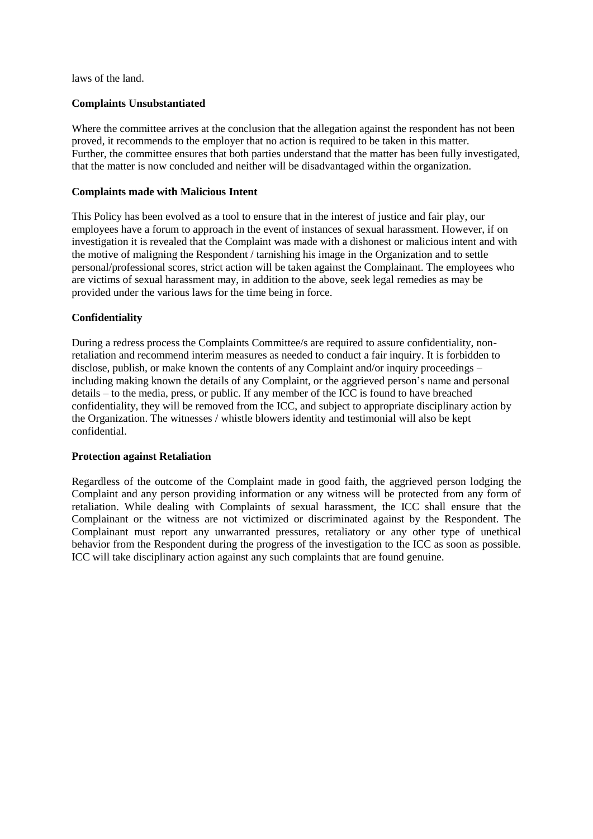laws of the land.

#### **Complaints Unsubstantiated**

Where the committee arrives at the conclusion that the allegation against the respondent has not been proved, it recommends to the employer that no action is required to be taken in this matter. Further, the committee ensures that both parties understand that the matter has been fully investigated, that the matter is now concluded and neither will be disadvantaged within the organization.

#### **Complaints made with Malicious Intent**

This Policy has been evolved as a tool to ensure that in the interest of justice and fair play, our employees have a forum to approach in the event of instances of sexual harassment. However, if on investigation it is revealed that the Complaint was made with a dishonest or malicious intent and with the motive of maligning the Respondent / tarnishing his image in the Organization and to settle personal/professional scores, strict action will be taken against the Complainant. The employees who are victims of sexual harassment may, in addition to the above, seek legal remedies as may be provided under the various laws for the time being in force.

#### **Confidentiality**

During a redress process the Complaints Committee/s are required to assure confidentiality, nonretaliation and recommend interim measures as needed to conduct a fair inquiry. It is forbidden to disclose, publish, or make known the contents of any Complaint and/or inquiry proceedings – including making known the details of any Complaint, or the aggrieved person's name and personal details – to the media, press, or public. If any member of the ICC is found to have breached confidentiality, they will be removed from the ICC, and subject to appropriate disciplinary action by the Organization. The witnesses / whistle blowers identity and testimonial will also be kept confidential.

#### **Protection against Retaliation**

Regardless of the outcome of the Complaint made in good faith, the aggrieved person lodging the Complaint and any person providing information or any witness will be protected from any form of retaliation. While dealing with Complaints of sexual harassment, the ICC shall ensure that the Complainant or the witness are not victimized or discriminated against by the Respondent. The Complainant must report any unwarranted pressures, retaliatory or any other type of unethical behavior from the Respondent during the progress of the investigation to the ICC as soon as possible. ICC will take disciplinary action against any such complaints that are found genuine.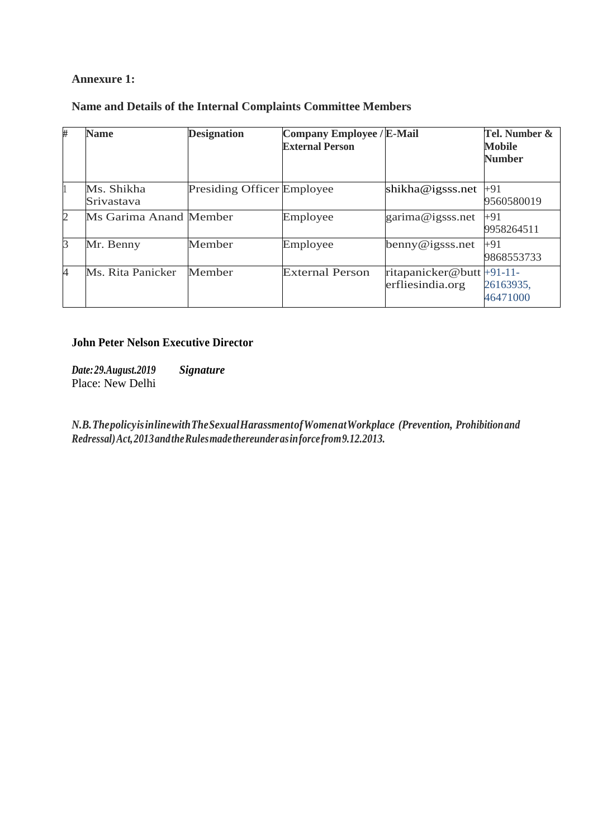# **Annexure 1:**

# **Name and Details of the Internal Complaints Committee Members**

| #              | <b>Name</b>              | <b>Designation</b>                | <b>Company Employee / E-Mail</b><br><b>External Person</b> |                                               | Tel. Number &<br><b>Mobile</b><br><b>Number</b> |
|----------------|--------------------------|-----------------------------------|------------------------------------------------------------|-----------------------------------------------|-------------------------------------------------|
|                | Ms. Shikha<br>Srivastava | <b>Presiding Officer Employee</b> |                                                            | shikha@igsss.net                              | $+91$<br>9560580019                             |
| $\overline{2}$ | Ms Garima Anand Member   |                                   | Employee                                                   | garima@igsss.net                              | +91<br>9958264511                               |
| 3              | Mr. Benny                | Member                            | Employee                                                   | benny@igsss.net                               | $+91$<br>9868553733                             |
| $\overline{4}$ | Ms. Rita Panicker        | Member                            | <b>External Person</b>                                     | ritapanicker@butt +91-11-<br>erfliesindia.org | 26163935,<br>46471000                           |

# **John Peter Nelson Executive Director**

*Date:29.August.2019 Signature* Place: New Delhi

*N.B.ThepolicyisinlinewithTheSexualHarassmentofWomenatWorkplace (Prevention, Prohibitionand Redressal)Act,2013andtheRulesmadethereunderasinforcefrom9.12.2013.*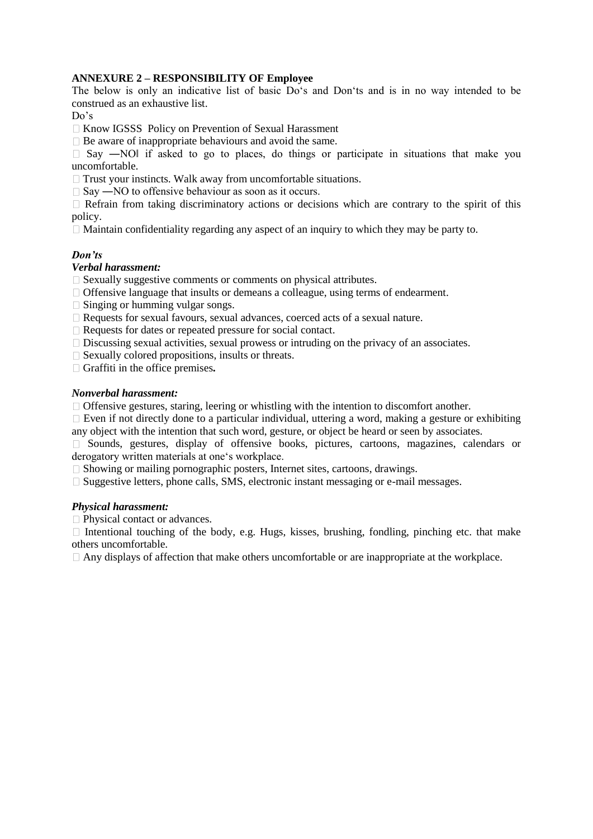# **ANNEXURE 2** *–* **RESPONSIBILITY OF Employee**

The below is only an indicative list of basic Do's and Don'ts and is in no way intended to be construed as an exhaustive list.

Do's

Know IGSSS Policy on Prevention of Sexual Harassment

 $\square$  Be aware of inappropriate behaviours and avoid the same.

 $\Box$  Say —NO if asked to go to places, do things or participate in situations that make you uncomfortable.

 $\Box$  Trust your instincts. Walk away from uncomfortable situations.

 $\square$  Say —NO to offensive behaviour as soon as it occurs.

 $\Box$  Refrain from taking discriminatory actions or decisions which are contrary to the spirit of this policy.

 $\Box$  Maintain confidentiality regarding any aspect of an inquiry to which they may be party to.

#### *Don'ts*

# *Verbal harassment:*

 $\Box$  Sexually suggestive comments or comments on physical attributes.

 $\Box$  Offensive language that insults or demeans a colleague, using terms of endearment.

 $\Box$  Singing or humming vulgar songs.

Requests for sexual favours, sexual advances, coerced acts of a sexual nature.

Requests for dates or repeated pressure for social contact.

 $\Box$  Discussing sexual activities, sexual prowess or intruding on the privacy of an associates.

 $\Box$  Sexually colored propositions, insults or threats.

Graffiti in the office premises*.* 

#### *Nonverbal harassment:*

 $\Box$  Offensive gestures, staring, leering or whistling with the intention to discomfort another.

 $\Box$  Even if not directly done to a particular individual, uttering a word, making a gesture or exhibiting any object with the intention that such word, gesture, or object be heard or seen by associates.

Sounds, gestures, display of offensive books, pictures, cartoons, magazines, calendars or derogatory written materials at one's workplace.

 $\Box$  Showing or mailing pornographic posters, Internet sites, cartoons, drawings.

 $\square$  Suggestive letters, phone calls, SMS, electronic instant messaging or e-mail messages.

#### *Physical harassment:*

□ Physical contact or advances.

Intentional touching of the body, e.g. Hugs, kisses, brushing, fondling, pinching etc. that make others uncomfortable.

 $\Box$  Any displays of affection that make others uncomfortable or are inappropriate at the workplace.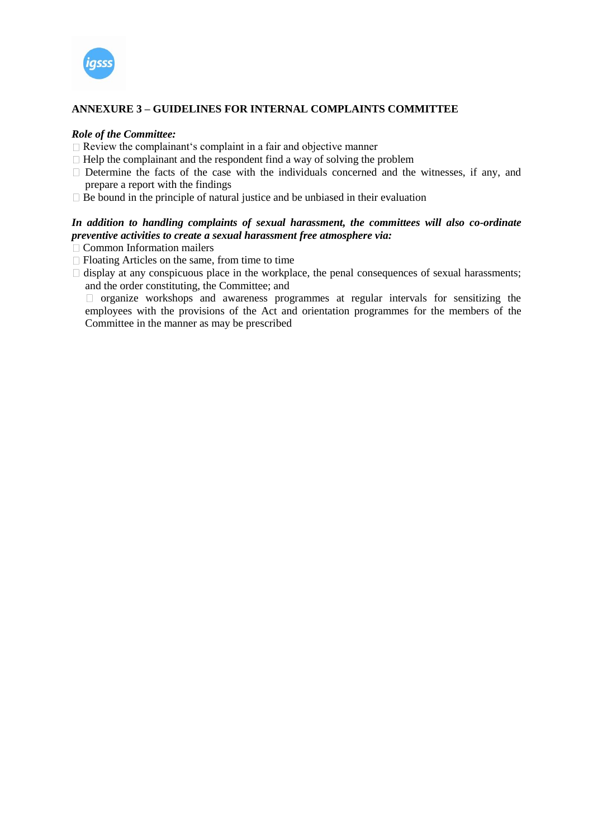

# **ANNEXURE 3 – GUIDELINES FOR INTERNAL COMPLAINTS COMMITTEE**

#### *Role of the Committee:*

- $\Box$  Review the complainant's complaint in a fair and objective manner
- $\Box$  Help the complainant and the respondent find a way of solving the problem
- $\Box$  Determine the facts of the case with the individuals concerned and the witnesses, if any, and prepare a report with the findings
- $\Box$  Be bound in the principle of natural justice and be unbiased in their evaluation

# *In addition to handling complaints of sexual harassment, the committees will also co-ordinate preventive activities to create a sexual harassment free atmosphere via:*

- $\Box$  Common Information mailers
- $\Box$  Floating Articles on the same, from time to time
- $\Box$  display at any conspicuous place in the workplace, the penal consequences of sexual harassments; and the order constituting, the Committee; and

 $\Box$  organize workshops and awareness programmes at regular intervals for sensitizing the employees with the provisions of the Act and orientation programmes for the members of the Committee in the manner as may be prescribed